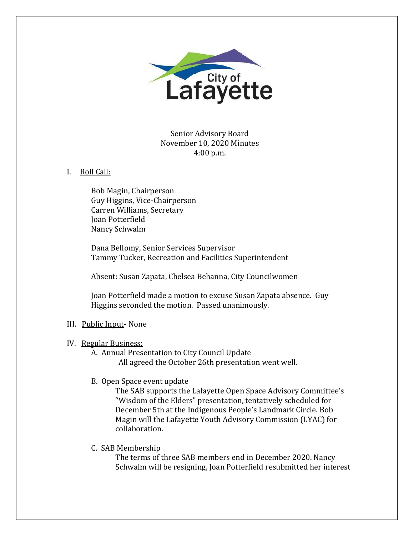

Senior Advisory Board November 10, 2020 Minutes 4:00 p.m.

## I. Roll Call:

Bob Magin, Chairperson Guy Higgins, Vice-Chairperson Carren Williams, Secretary Joan Potterfield Nancy Schwalm

Dana Bellomy, Senior Services Supervisor Tammy Tucker, Recreation and Facilities Superintendent

Absent: Susan Zapata, Chelsea Behanna, City Councilwomen

Joan Potterfield made a motion to excuse Susan Zapata absence. Guy Higgins seconded the motion. Passed unanimously.

# III. Public Input- None

## IV. Regular Business:

A. Annual Presentation to City Council Update All agreed the October 26th presentation went well.

# B. Open Space event update

The SAB supports the Lafayette Open Space Advisory Committee's "Wisdom of the Elders" presentation, tentatively scheduled for December 5th at the Indigenous People's Landmark Circle. Bob Magin will the Lafayette Youth Advisory Commission (LYAC) for collaboration.

## C. SAB Membership

The terms of three SAB members end in December 2020. Nancy Schwalm will be resigning, Joan Potterfield resubmitted her interest